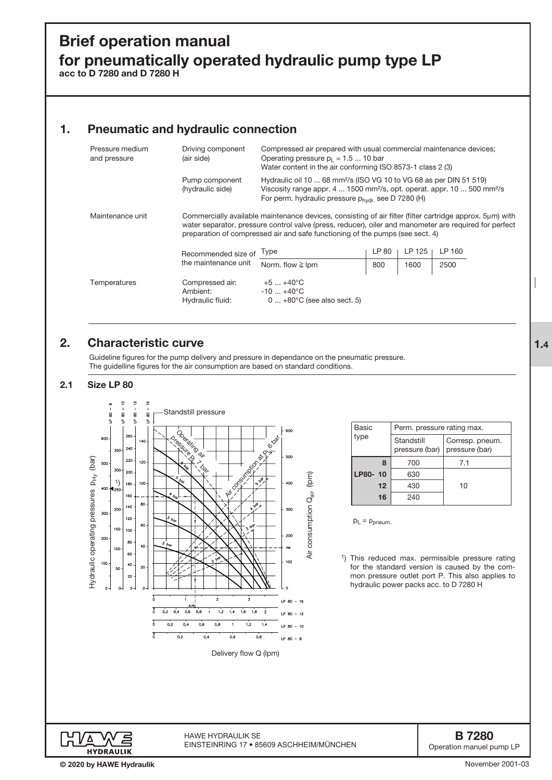# Brief operation manual for pneumatically operated hydraulic pump type LP

acc to D 7280 and D 7280 H

# 1. Pneumatic and hydraulic connection

| Pressure medium<br>and pressure | Driving component<br>(air side)                                                                                                                                                                                                                                                                     | Compressed air prepared with usual commercial maintenance devices;<br>Operating pressure $p_1 = 1.5  10$ bar<br>Water content in the air conforming ISO 8573-1 class 2 (3)                                                                         |       |        |        |  |
|---------------------------------|-----------------------------------------------------------------------------------------------------------------------------------------------------------------------------------------------------------------------------------------------------------------------------------------------------|----------------------------------------------------------------------------------------------------------------------------------------------------------------------------------------------------------------------------------------------------|-------|--------|--------|--|
|                                 | Pump component<br>(hydraulic side)                                                                                                                                                                                                                                                                  | Hydraulic oil 10  68 mm <sup>2</sup> /s (ISO VG 10 to VG 68 as per DIN 51 519)<br>Viscosity range appr. 4  1500 mm <sup>2</sup> /s, opt. operat. appr. 10  500 mm <sup>2</sup> /s<br>For perm. hydraulic pressure $p_{\text{hvdr}}$ see D 7280 (H) |       |        |        |  |
| Maintenance unit                | Commercially available maintenance devices, consisting of air filter (filter cartridge approx. 5µm) with<br>water separator, pressure control valve (press, reducer), oiler and manometer are required for perfect<br>preparation of compressed air and safe functioning of the pumps (see sect. 4) |                                                                                                                                                                                                                                                    |       |        |        |  |
|                                 | Recommended size of                                                                                                                                                                                                                                                                                 | Type                                                                                                                                                                                                                                               | LP 80 | LP 125 | LP 160 |  |
|                                 | the maintenance unit                                                                                                                                                                                                                                                                                | Norm. flow $\geq$ lpm                                                                                                                                                                                                                              | 800   | 1600   | 2500   |  |
| Temperatures                    | Compressed air:<br>Ambient:<br>Hydraulic fluid:                                                                                                                                                                                                                                                     | $+5$ $+40^{\circ}$ C<br>$-10+40^{\circ}$ C<br>$0+80^{\circ}$ C (see also sect. 5)                                                                                                                                                                  |       |        |        |  |

# 2. Characteristic curve

Guideline figures for the pump delivery and pressure in dependance on the pneumatic pressure. The guidelline figures for the air consumption are based on standard conditions.

### 2.1 Size LP 80



| Basic   | Perm. pressure rating max.   |                                   |  |  |
|---------|------------------------------|-----------------------------------|--|--|
| type    | Standstill<br>pressure (bar) | Corresp. pneum.<br>pressure (bar) |  |  |
| 8       | 700                          | 7.1                               |  |  |
| LP80-10 | 630                          |                                   |  |  |
| 12      | 430                          | 10                                |  |  |
| 16      | 240                          |                                   |  |  |
|         |                              |                                   |  |  |

 $p_L = p_{pneum}$ .

1) This reduced max. permissible pressure rating for the standard version is caused by the common pressure outlet port P. This also applies to hydraulic power packs acc. to D 7280 H



HAWE HydrAuLik SE EINSTEINRING 17 • 85609 ASCHHEIM/MÜNCHEN

B 7280 Operation manuel pump LP

1.4

November 2001-03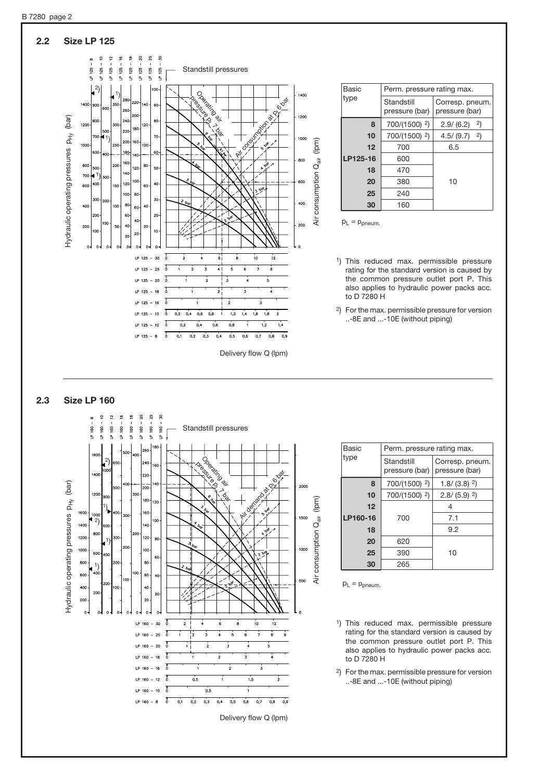

#### 2.3 Size LP 160



| Basic    | Perm. pressure rating max.   |                                   |  |  |
|----------|------------------------------|-----------------------------------|--|--|
| type     | Standstill<br>pressure (bar) | Corresp. pneum.<br>pressure (bar) |  |  |
| 8        | 700/(1500) <sup>2</sup> )    | $1.8/(3.8)^2$                     |  |  |
| 10       | 700/(1500) 2)                | $2.8/(5.9)$ <sup>2</sup> )        |  |  |
| 12       |                              | 4                                 |  |  |
| LP160-16 | 700                          | 7.1                               |  |  |
| 18       |                              | 9.2                               |  |  |
| 20       | 620                          | 10                                |  |  |
| 25       | 390                          |                                   |  |  |
| 30       | 265                          |                                   |  |  |

 $p_L = p_{pneum}$ .

- 1) This reduced max. permissible pressure rating for the standard version is caused by the common pressure outlet port P. This also applies to hydraulic power packs acc. to D 7280 H
- 2) For the max. permissible pressure for version ..-8E and ...-10E (without piping)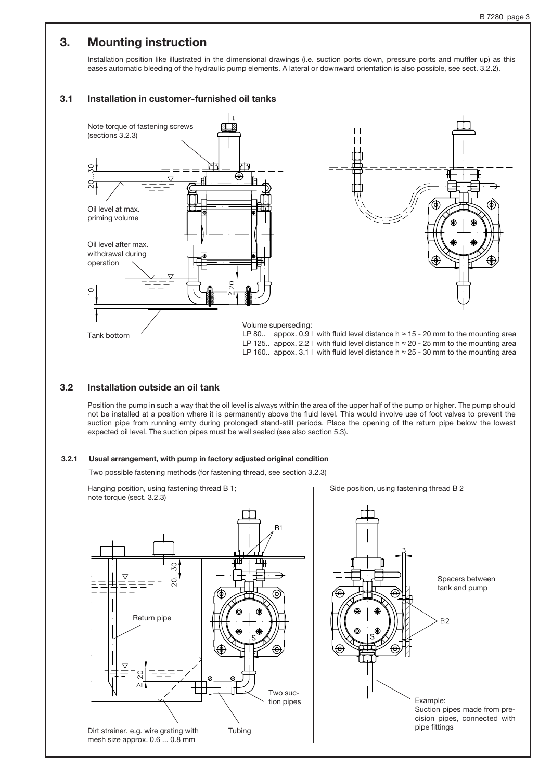### 3. Mounting instruction

Installation position like illustrated in the dimensional drawings (i.e. suction ports down, pressure ports and muffler up) as this eases automatic bleeding of the hydraulic pump elements. A lateral or downward orientation is also possible, see sect. 3.2.2).

#### 3.1 Installation in customer-furnished oil tanks



#### 3.2 Installation outside an oil tank

Position the pump in such a way that the oil level is always within the area of the upper half of the pump or higher. The pump should not be installed at a position where it is permanently above the fluid level. This would involve use of foot valves to prevent the suction pipe from running emty during prolonged stand-still periods. Place the opening of the return pipe below the lowest expected oil level. The suction pipes must be well sealed (see also section 5.3).

#### 3.2.1 Usual arrangement, with pump in factory adjusted original condition

Two possible fastening methods (for fastening thread, see section 3.2.3)

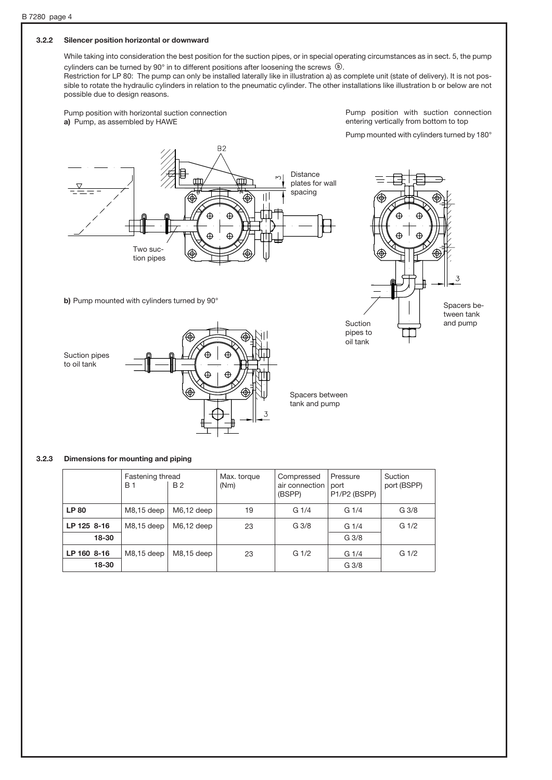### 3.2.2 Silencer position horizontal or downward

While taking into consideration the best position for the suction pipes, or in special operating circumstances as in sect. 5, the pump cylinders can be turned by 90 $^{\circ}$  in to different positions after loosening the screws  $\circledR$ .

Restriction for LP 80: The pump can only be installed laterally like in illustration a) as complete unit (state of delivery). It is not possible to rotate the hydraulic cylinders in relation to the pneumatic cylinder. The other installations like illustration b or below are not possible due to design reasons.

Pump position with horizontal suction connection a) Pump, as assembled by HAWE

Pump position with suction connection entering vertically from bottom to top

Pump mounted with cylinders turned by 180°





b) Pump mounted with cylinders turned by 90°



Spacers between tank and pump

#### 3.2.3 Dimensions for mounting and piping

|             | Fastening thread<br>B 1 | <b>B2</b>    | Max. torque<br>(Nm) | Compressed<br>air connection<br>(BSPP) | Pressure<br>port<br>P1/P2 (BSPP) | Suction<br>port (BSPP) |
|-------------|-------------------------|--------------|---------------------|----------------------------------------|----------------------------------|------------------------|
| <b>LP80</b> | M8,15 deep              | $M6,12$ deep | 19                  | G1/4                                   | G1/4                             | G <sub>3/8</sub>       |
| LP 125 8-16 | M8.15 deep              | $M6.12$ deep | 23                  | G <sub>3/8</sub>                       | G1/4                             | G <sub>1/2</sub>       |
| 18-30       |                         |              |                     |                                        | G <sub>3/8</sub>                 |                        |
| LP 160 8-16 | M8,15 deep              | M8,15 deep   | 23                  | G <sub>1/2</sub>                       | G <sub>1/4</sub>                 | G <sub>1/2</sub>       |
| 18-30       |                         |              |                     |                                        | G <sub>3/8</sub>                 |                        |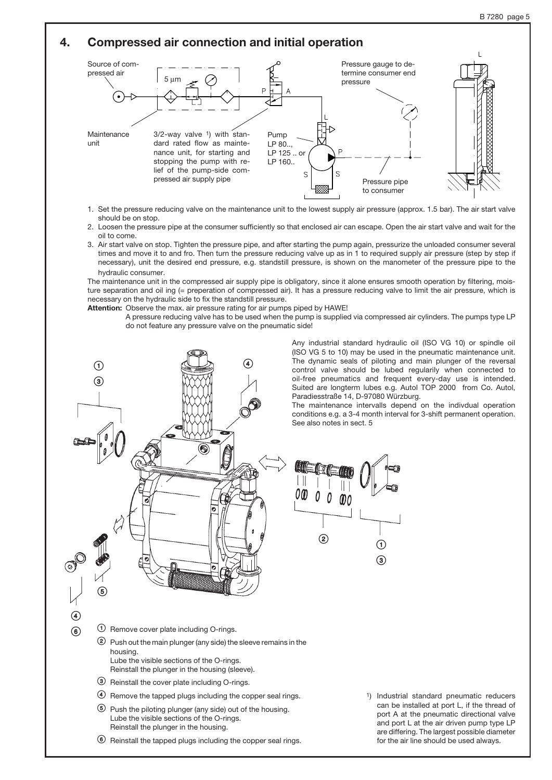# 4. Compressed air connection and initial operation



- 1. Set the pressure reducing valve on the maintenance unit to the lowest supply air pressure (approx. 1.5 bar). The air start valve should be on stop.
- 2. Loosen the pressure pipe at the consumer sufficiently so that enclosed air can escape. Open the air start valve and wait for the oil to come.
- 3. Air start valve on stop. Tighten the pressure pipe, and after starting the pump again, pressurize the unloaded consumer several times and move it to and fro. Then turn the pressure reducing valve up as in 1 to required supply air pressure (step by step if necessary), unit the desired end pressure, e.g. standstill pressure, is shown on the manometer of the pressure pipe to the hydraulic consumer.

The maintenance unit in the compressed air supply pipe is obligatory, since it alone ensures smooth operation by filtering, moisture separation and oil ing (= preperation of compressed air). It has a pressure reducing valve to limit the air pressure, which is necessary on the hydraulic side to fix the standstill pressure.

Attention: Observe the max. air pressure rating for air pumps piped by HAWE!

A pressure reducing valve has to be used when the pump is supplied via compressed air cylinders. The pumps type LP do not feature any pressure valve on the pneumatic side!



Any industrial standard hydraulic oil (ISO VG 10) or spindle oil (ISO VG 5 to 10) may be used in the pneumatic maintenance unit. The dynamic seals of piloting and main plunger of the reversal control valve should be lubed regularily when connected to oil-free pneumatics and frequent every-day use is intended. Suited are longterm lubes e.g. Autol TOP 2000 from Co. Autol, Paradiesstraße 14, D-97080 Würzburg.

The maintenance intervalls depend on the indivdual operation conditions e.g. a 3-4 month interval for 3-shift permanent operation. See also notes in sect. 5



<sup>2</sup> Push out the main plunger (any side) the sleeve remains in the housing. Lube the visible sections of the O-rings. Reinstall the plunger in the housing (sleeve).

- <sup>3</sup> Reinstall the cover plate including O-rings.
- > Remove the tapped plugs including the copper seal rings.
- ? Push the piloting plunger (any side) out of the housing. Lube the visible sections of the O-rings. Reinstall the plunger in the housing.
- @ Reinstall the tapped plugs including the copper seal rings.
- 1) Industrial standard pneumatic reducers can be installed at port L, if the thread of port A at the pneumatic directional valve and port L at the air driven pump type LP are differing. The largest possible diameter for the air line should be used always.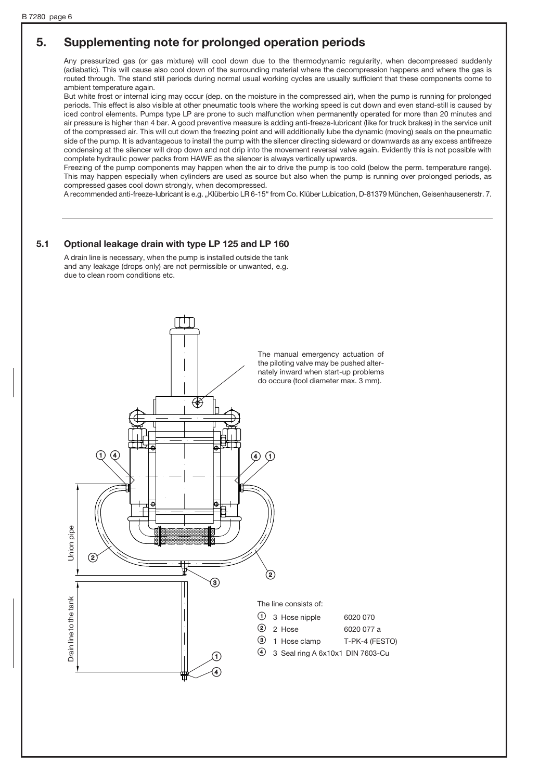## 5. Supplementing note for prolonged operation periods

Any pressurized gas (or gas mixture) will cool down due to the thermodynamic regularity, when decompressed suddenly (adiabatic). This will cause also cool down of the surrounding material where the decompression happens and where the gas is routed through. The stand still periods during normal usual working cycles are usually sufficient that these components come to ambient temperature again.

But white frost or internal icing may occur (dep. on the moisture in the compressed air), when the pump is running for prolonged periods. This effect is also visible at other pneumatic tools where the working speed is cut down and even stand-still is caused by iced control elements. Pumps type LP are prone to such malfunction when permanently operated for more than 20 minutes and air pressure is higher than 4 bar. A good preventive measure is adding anti-freeze-lubricant (like for truck brakes) in the service unit of the compressed air. This will cut down the freezing point and will additionally lube the dynamic (moving) seals on the pneumatic side of the pump. It is advantageous to install the pump with the silencer directing sideward or downwards as any excess antifreeze condensing at the silencer will drop down and not drip into the movement reversal valve again. Evidently this is not possible with complete hydraulic power packs from HAWE as the silencer is always vertically upwards.

Freezing of the pump components may happen when the air to drive the pump is too cold (below the perm. temperature range). This may happen especially when cylinders are used as source but also when the pump is running over prolonged periods, as compressed gases cool down strongly, when decompressed.

A recommended anti-freeze-lubricant is e.g. "Klüberbio LR 6-15" from Co. Klüber Lubication, D-81379 München, Geisenhausenerstr. 7.

#### 5.1 Optional leakage drain with type LP 125 and LP 160

A drain line is necessary, when the pump is installed outside the tank and any leakage (drops only) are not permissible or unwanted, e.g. due to clean room conditions etc.